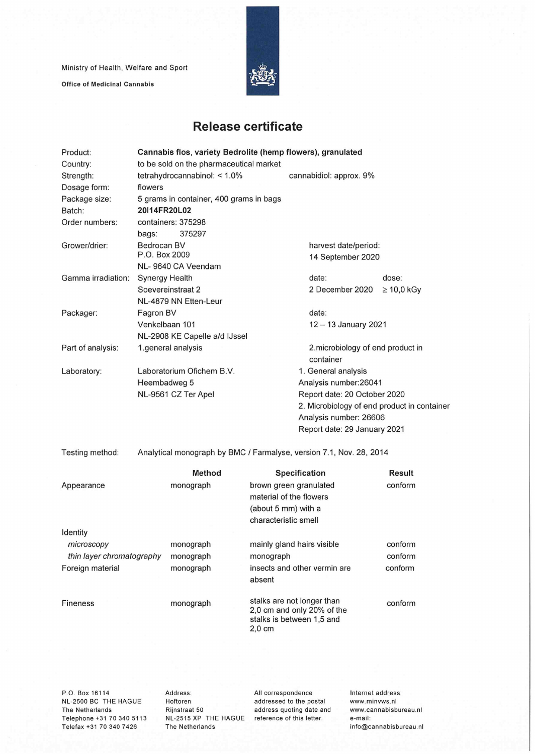Ministry of Health, Welfare and Sport

**Office of Medicinal Cannabis** 



## **Release certificate**

| Product:           | Cannabis flos, variety Bedrolite (hemp flowers), granulated         |                                                |                 |  |  |
|--------------------|---------------------------------------------------------------------|------------------------------------------------|-----------------|--|--|
| Country:           | to be sold on the pharmaceutical market                             |                                                |                 |  |  |
| Strength:          | tetrahydrocannabinol: $< 1.0\%$                                     | cannabidiol: approx. 9%                        |                 |  |  |
| Dosage form:       | flowers                                                             |                                                |                 |  |  |
| Package size:      | 5 grams in container, 400 grams in bags                             |                                                |                 |  |  |
| Batch:             | 20114FR20L02                                                        |                                                |                 |  |  |
| Order numbers:     | containers: 375298                                                  |                                                |                 |  |  |
|                    | 375297<br>bags:                                                     |                                                |                 |  |  |
| Grower/drier:      | Bedrocan BV                                                         | harvest date/period:                           |                 |  |  |
|                    | P.O. Box 2009                                                       | 14 September 2020                              |                 |  |  |
|                    | NL-9640 CA Veendam                                                  |                                                |                 |  |  |
| Gamma irradiation: | Synergy Health                                                      | date:                                          | dose:           |  |  |
|                    | Soevereinstraat 2                                                   | 2 December 2020                                | $\geq 10,0$ kGy |  |  |
|                    | NL-4879 NN Etten-Leur                                               |                                                |                 |  |  |
| Packager:          | Fagron BV                                                           | date:                                          |                 |  |  |
|                    | Venkelbaan 101                                                      | 12 - 13 January 2021                           |                 |  |  |
|                    | NL-2908 KE Capelle a/d IJssel                                       |                                                |                 |  |  |
| Part of analysis:  | 1.general analysis                                                  | 2. microbiology of end product in<br>container |                 |  |  |
| Laboratory:        | Laboratorium Ofichem B.V.                                           | 1. General analysis                            |                 |  |  |
|                    | Heembadweg 5                                                        | Analysis number: 26041                         |                 |  |  |
|                    | NL-9561 CZ Ter Apel                                                 | Report date: 20 October 2020                   |                 |  |  |
|                    |                                                                     | 2. Microbiology of end product in container    |                 |  |  |
|                    |                                                                     | Analysis number: 26606                         |                 |  |  |
|                    |                                                                     | Report date: 29 January 2021                   |                 |  |  |
|                    |                                                                     |                                                |                 |  |  |
| Testing method:    | Analytical monograph by BMC / Farmalyse, version 7.1, Nov. 28, 2014 |                                                |                 |  |  |
|                    |                                                                     |                                                |                 |  |  |

|                                         | Method                 | <b>Specification</b>                                                                              | Result             |
|-----------------------------------------|------------------------|---------------------------------------------------------------------------------------------------|--------------------|
| Appearance                              | monograph              | brown green granulated<br>material of the flowers<br>(about 5 mm) with a<br>characteristic smell  | conform            |
| Identity                                |                        |                                                                                                   |                    |
| microscopy<br>thin layer chromatography | monograph<br>monograph | mainly gland hairs visible<br>monograph                                                           | conform<br>conform |
| Foreign material                        | monograph              | insects and other vermin are<br>absent                                                            | conform            |
| <b>Fineness</b>                         | monograph              | stalks are not longer than<br>2,0 cm and only 20% of the<br>stalks is between 1,5 and<br>$2,0$ cm | conform            |
|                                         |                        |                                                                                                   |                    |

P.O. Box 16114 NL-2500 BC THE HAGUE The Netherlands Telephone +31 70 340 5113 Telefax +31 70 340 7426

Address: Hoftoren Rijnstraat 50 NL-2515 XP THE HAGUE reference of this letter. The Netherlands

All correspondence addressed to the postai address quoting date and Internet address: www.minvws.nl www.cannabisbureau.nl e-mail: info@cannabisbureau.nl